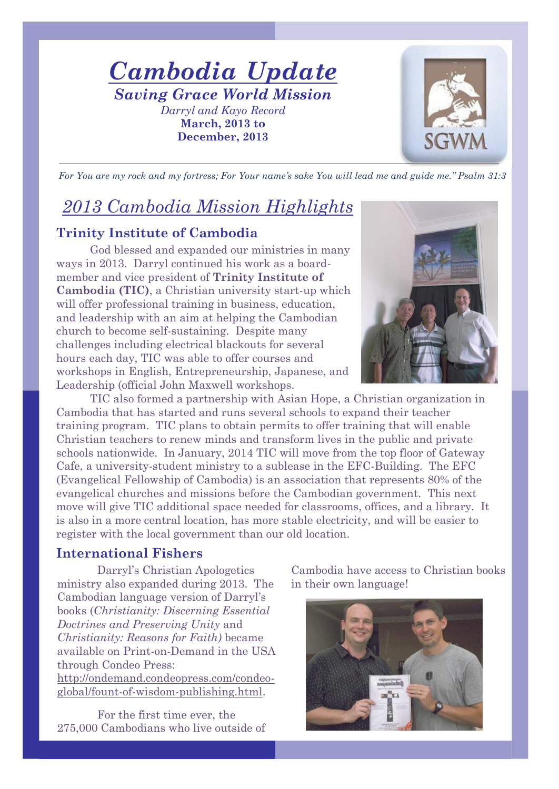*Cambodia Update Saving Grace World Mission Darryl and Kayo Record* **March, 2013 to December, 2013**



For You are my rock and my fortress; For Your name's sake You will lead me and guide me." Psalm 31:3

# *2013 Cambodia Mission Highlights*

### **Trinity Institute of Cambodia**

God blessed and expanded our ministries in many ways in 2013. Darryl continued his work as a boardmember and vice president of **Trinity Institute of Cambodia (TIC)**, a Christian university start-up which will offer professional training in business, education, and leadership with an aim at helping the Cambodian church to become self-sustaining. Despite many challenges including electrical blackouts for several hours each day, TIC was able to offer courses and workshops in English, Entrepreneurship, Japanese, and Leadership (official John Maxwell workshops.



TIC also formed a partnership with Asian Hope, a Christian organization in Cambodia that has started and runs several schools to expand their teacher training program. TIC plans to obtain permits to offer training that will enable Christian teachers to renew minds and transform lives in the public and private schools nationwide. In January, 2014 TIC will move from the top floor of Gateway Cafe, a university-student ministry to a sublease in the EFC-Building. The EFC (Evangelical Fellowship of Cambodia) is an association that represents 80% of the evangelical churches and missions before the Cambodian government. This next move will give TIC additional space needed for classrooms, offices, and a library. It is also in a more central location, has more stable electricity, and will be easier to register with the local government than our old location.

### **International Fishers**

Darryl's Christian Apologetics ministry also expanded during 2013. The Cambodian language version of Darryl's books (*Christianity: Discerning Essential Doctrines and Preserving Unity* and *Christianity: Reasons for Faith)* became available on Print-on-Demand in the USA through Condeo Press: [http://ondemand.condeopress.com/condeo](http://ondemand.condeopress.com/condeo-global/fount-of-wisdom-publishing.html)[global/fount-of-wisdom-publishing.html.](http://ondemand.condeopress.com/condeo-global/fount-of-wisdom-publishing.html)

For the first time ever, the 275,000 Cambodians who live outside of Cambodia have access to Christian books in their own language!

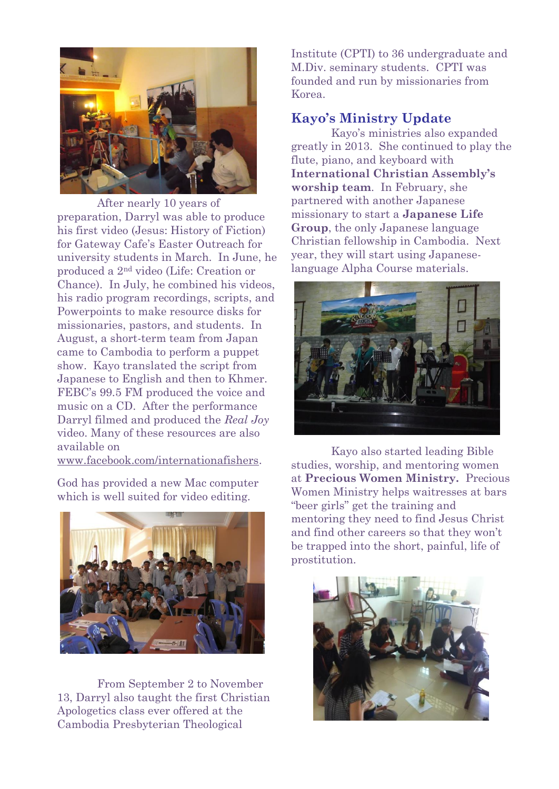

After nearly 10 years of preparation, Darryl was able to produce his first video (Jesus: History of Fiction) for Gateway Cafe's Easter Outreach for university students in March. In June, he produced a 2nd video (Life: Creation or Chance). In July, he combined his videos, his radio program recordings, scripts, and Powerpoints to make resource disks for missionaries, pastors, and students. In August, a short-term team from Japan came to Cambodia to perform a puppet show. Kayo translated the script from Japanese to English and then to Khmer. FEBC's 99.5 FM produced the voice and music on a CD. After the performance Darryl filmed and produced the *Real Joy* video. Many of these resources are also available on

[www.facebook.com/internationafishers.](http://www.facebook.com/internationafishers)

God has provided a new Mac computer which is well suited for video editing.



From September 2 to November 13, Darryl also taught the first Christian Apologetics class ever offered at the Cambodia Presbyterian Theological

Institute (CPTI) to 36 undergraduate and M.Div. seminary students. CPTI was founded and run by missionaries from Korea.

### **Kayo's Ministry Update**

Kayo's ministries also expanded greatly in 2013. She continued to play the flute, piano, and keyboard with **International Christian Assembly's worship team**. In February, she partnered with another Japanese missionary to start a **Japanese Life Group**, the only Japanese language Christian fellowship in Cambodia. Next year, they will start using Japaneselanguage Alpha Course materials.



Kayo also started leading Bible studies, worship, and mentoring women at **Precious Women Ministry.** Precious Women Ministry helps waitresses at bars "beer girls" get the training and mentoring they need to find Jesus Christ and find other careers so that they won't be trapped into the short, painful, life of prostitution.